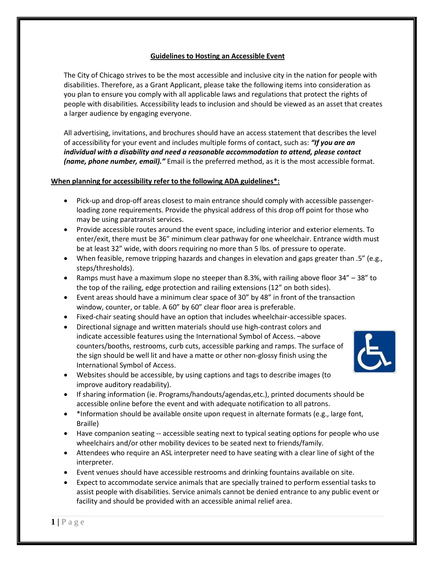# **Guidelines to Hosting an Accessible Event**

The City of Chicago strives to be the most accessible and inclusive city in the nation for people with disabilities. Therefore, as a Grant Applicant, please take the following items into consideration as you plan to ensure you comply with all applicable laws and regulations that protect the rights of people with disabilities*.* Accessibility leads to inclusion and should be viewed as an asset that creates a larger audience by engaging everyone.

All advertising, invitations, and brochures should have an access statement that describes the level of accessibility for your event and includes multiple forms of contact, such as: *"If you are an individual with a disability and need a reasonable accommodation to attend, please contact (name, phone number, email)."* Email is the preferred method, as it is the most accessible format.

# **When planning for accessibility refer to the following ADA guidelines\*:**

- Pick-up and drop-off areas closest to main entrance should comply with accessible passengerloading zone requirements. Provide the physical address of this drop off point for those who may be using paratransit services.
- Provide accessible routes around the event space, including interior and exterior elements. To enter/exit, there must be 36" minimum clear pathway for one wheelchair. Entrance width must be at least 32" wide, with doors requiring no more than 5 lbs. of pressure to operate.
- When feasible, remove tripping hazards and changes in elevation and gaps greater than .5" (e.g., steps/thresholds).
- Ramps must have a maximum slope no steeper than 8.3%, with railing above floor 34" 38" to the top of the railing, edge protection and railing extensions (12" on both sides).
- Event areas should have a minimum clear space of 30" by 48" in front of the transaction window, counter, or table. A 60" by 60" clear floor area is preferable.
- Fixed-chair seating should have an option that includes wheelchair-accessible spaces.
- Directional signage and written materials should use high-contrast colors and indicate accessible features using the International Symbol of Access. –above counters/booths, restrooms, curb cuts, accessible parking and ramps. The surface of the sign should be well lit and have a matte or other non-glossy finish using the International Symbol of Access.



- Websites should be accessible, by using captions and tags to describe images (to improve auditory readability).
- If sharing information (ie. Programs/handouts/agendas,etc.), printed documents should be accessible online before the event and with adequate notification to all patrons.
- \*Information should be available onsite upon request in alternate formats (e.g., large font, Braille)
- Have companion seating -- accessible seating next to typical seating options for people who use wheelchairs and/or other mobility devices to be seated next to friends/family.
- Attendees who require an ASL interpreter need to have seating with a clear line of sight of the interpreter.
- Event venues should have accessible restrooms and drinking fountains available on site.
- Expect to accommodate service animals that are specially trained to perform essential tasks to assist people with disabilities. Service animals cannot be denied entrance to any public event or facility and should be provided with an accessible animal relief area.